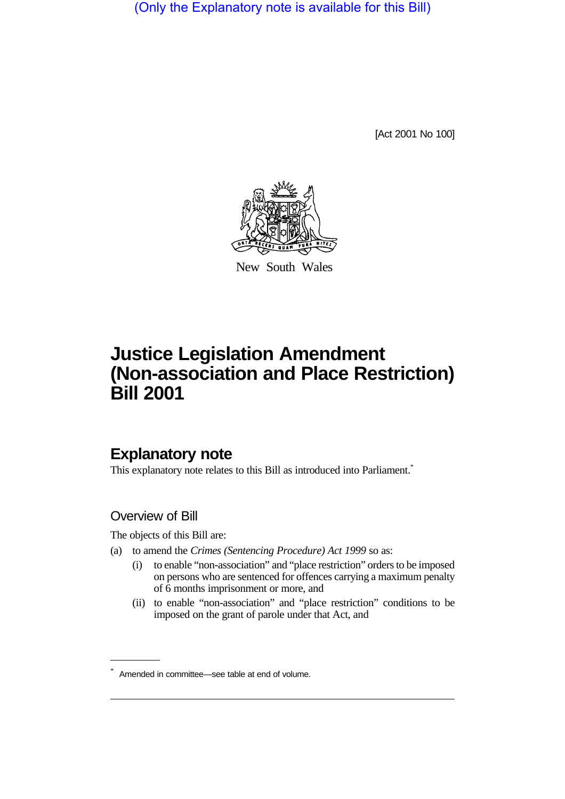(Only the Explanatory note is available for this Bill)

[Act 2001 No 100]



New South Wales

# **Justice Legislation Amendment (Non-association and Place Restriction) Bill 2001**

## **Explanatory note**

This explanatory note relates to this Bill as introduced into Parliament.<sup>\*</sup>

## Overview of Bill

The objects of this Bill are:

- (a) to amend the *Crimes (Sentencing Procedure) Act 1999* so as:
	- (i) to enable "non-association" and "place restriction" orders to be imposed on persons who are sentenced for offences carrying a maximum penalty of 6 months imprisonment or more, and
	- (ii) to enable "non-association" and "place restriction" conditions to be imposed on the grant of parole under that Act, and

<sup>\*</sup> Amended in committee—see table at end of volume.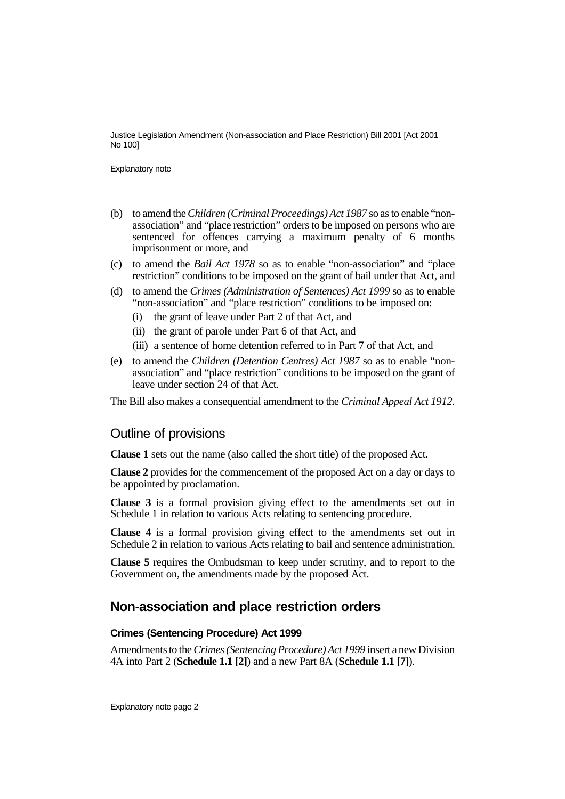Explanatory note

- (b) to amend the *Children (Criminal Proceedings) Act 1987* so as to enable "nonassociation" and "place restriction" orders to be imposed on persons who are sentenced for offences carrying a maximum penalty of 6 months imprisonment or more, and
- (c) to amend the *Bail Act 1978* so as to enable "non-association" and "place restriction" conditions to be imposed on the grant of bail under that Act, and
- (d) to amend the *Crimes (Administration of Sentences) Act 1999* so as to enable "non-association" and "place restriction" conditions to be imposed on:
	- (i) the grant of leave under Part 2 of that Act, and
	- (ii) the grant of parole under Part 6 of that Act, and
	- (iii) a sentence of home detention referred to in Part 7 of that Act, and
- (e) to amend the *Children (Detention Centres) Act 1987* so as to enable "nonassociation" and "place restriction" conditions to be imposed on the grant of leave under section 24 of that Act.

The Bill also makes a consequential amendment to the *Criminal Appeal Act 1912*.

#### Outline of provisions

**Clause 1** sets out the name (also called the short title) of the proposed Act.

**Clause 2** provides for the commencement of the proposed Act on a day or days to be appointed by proclamation.

**Clause 3** is a formal provision giving effect to the amendments set out in Schedule 1 in relation to various Acts relating to sentencing procedure.

**Clause 4** is a formal provision giving effect to the amendments set out in Schedule 2 in relation to various Acts relating to bail and sentence administration.

**Clause 5** requires the Ombudsman to keep under scrutiny, and to report to the Government on, the amendments made by the proposed Act.

## **Non-association and place restriction orders**

#### **Crimes (Sentencing Procedure) Act 1999**

Amendments to the *Crimes (Sentencing Procedure) Act 1999* insert a new Division 4A into Part 2 (**Schedule 1.1 [2]**) and a new Part 8A (**Schedule 1.1 [7]**).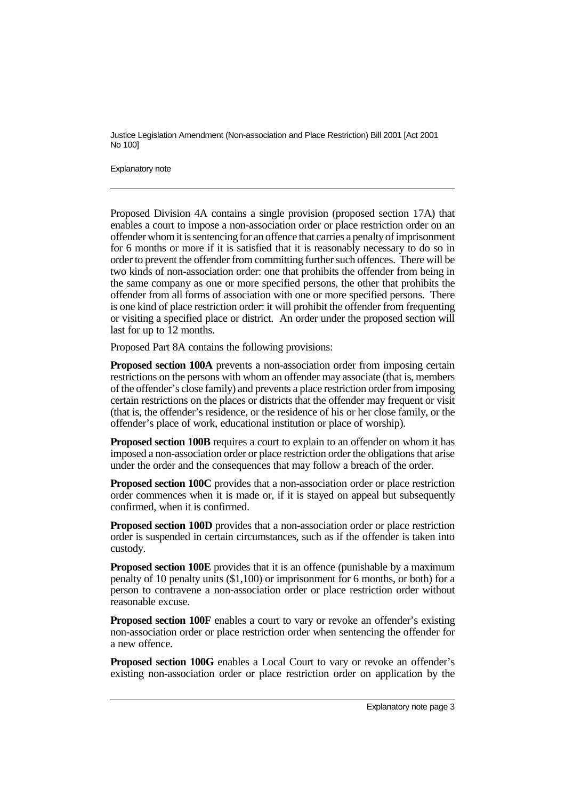Explanatory note

Proposed Division 4A contains a single provision (proposed section 17A) that enables a court to impose a non-association order or place restriction order on an offender whom it is sentencing for an offence that carries a penalty of imprisonment for 6 months or more if it is satisfied that it is reasonably necessary to do so in order to prevent the offender from committing further such offences. There will be two kinds of non-association order: one that prohibits the offender from being in the same company as one or more specified persons, the other that prohibits the offender from all forms of association with one or more specified persons. There is one kind of place restriction order: it will prohibit the offender from frequenting or visiting a specified place or district. An order under the proposed section will last for up to 12 months.

Proposed Part 8A contains the following provisions:

**Proposed section 100A** prevents a non-association order from imposing certain restrictions on the persons with whom an offender may associate (that is, members of the offender's close family) and prevents a place restriction order from imposing certain restrictions on the places or districts that the offender may frequent or visit (that is, the offender's residence, or the residence of his or her close family, or the offender's place of work, educational institution or place of worship).

**Proposed section 100B** requires a court to explain to an offender on whom it has imposed a non-association order or place restriction order the obligations that arise under the order and the consequences that may follow a breach of the order.

**Proposed section 100C** provides that a non-association order or place restriction order commences when it is made or, if it is stayed on appeal but subsequently confirmed, when it is confirmed.

**Proposed section 100D** provides that a non-association order or place restriction order is suspended in certain circumstances, such as if the offender is taken into custody.

**Proposed section 100E** provides that it is an offence (punishable by a maximum penalty of 10 penalty units (\$1,100) or imprisonment for 6 months, or both) for a person to contravene a non-association order or place restriction order without reasonable excuse.

**Proposed section 100F** enables a court to vary or revoke an offender's existing non-association order or place restriction order when sentencing the offender for a new offence.

**Proposed section 100G** enables a Local Court to vary or revoke an offender's existing non-association order or place restriction order on application by the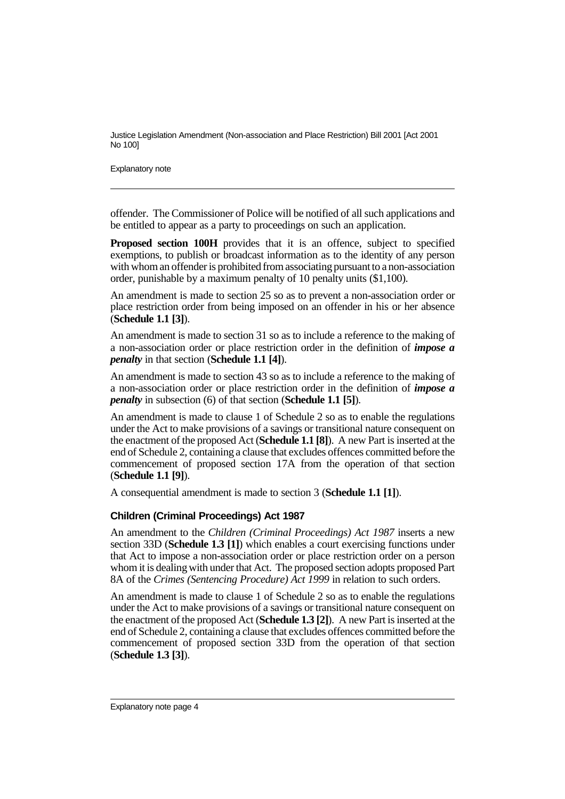Explanatory note

offender. The Commissioner of Police will be notified of all such applications and be entitled to appear as a party to proceedings on such an application.

**Proposed section 100H** provides that it is an offence, subject to specified exemptions, to publish or broadcast information as to the identity of any person with whom an offender is prohibited from associating pursuant to a non-association order, punishable by a maximum penalty of 10 penalty units (\$1,100).

An amendment is made to section 25 so as to prevent a non-association order or place restriction order from being imposed on an offender in his or her absence (**Schedule 1.1 [3]**).

An amendment is made to section 31 so as to include a reference to the making of a non-association order or place restriction order in the definition of *impose a penalty* in that section (**Schedule 1.1 [4]**).

An amendment is made to section 43 so as to include a reference to the making of a non-association order or place restriction order in the definition of *impose a penalty* in subsection (6) of that section (**Schedule 1.1 [5]**).

An amendment is made to clause 1 of Schedule 2 so as to enable the regulations under the Act to make provisions of a savings or transitional nature consequent on the enactment of the proposed Act (**Schedule 1.1 [8]**). A new Part is inserted at the end of Schedule 2, containing a clause that excludes offences committed before the commencement of proposed section 17A from the operation of that section (**Schedule 1.1 [9]**).

A consequential amendment is made to section 3 (**Schedule 1.1 [1]**).

#### **Children (Criminal Proceedings) Act 1987**

An amendment to the *Children (Criminal Proceedings) Act 1987* inserts a new section 33D (**Schedule 1.3 [1]**) which enables a court exercising functions under that Act to impose a non-association order or place restriction order on a person whom it is dealing with under that Act. The proposed section adopts proposed Part 8A of the *Crimes (Sentencing Procedure) Act 1999* in relation to such orders.

An amendment is made to clause 1 of Schedule 2 so as to enable the regulations under the Act to make provisions of a savings or transitional nature consequent on the enactment of the proposed Act (**Schedule 1.3 [2]**). A new Part is inserted at the end of Schedule 2, containing a clause that excludes offences committed before the commencement of proposed section 33D from the operation of that section (**Schedule 1.3 [3]**).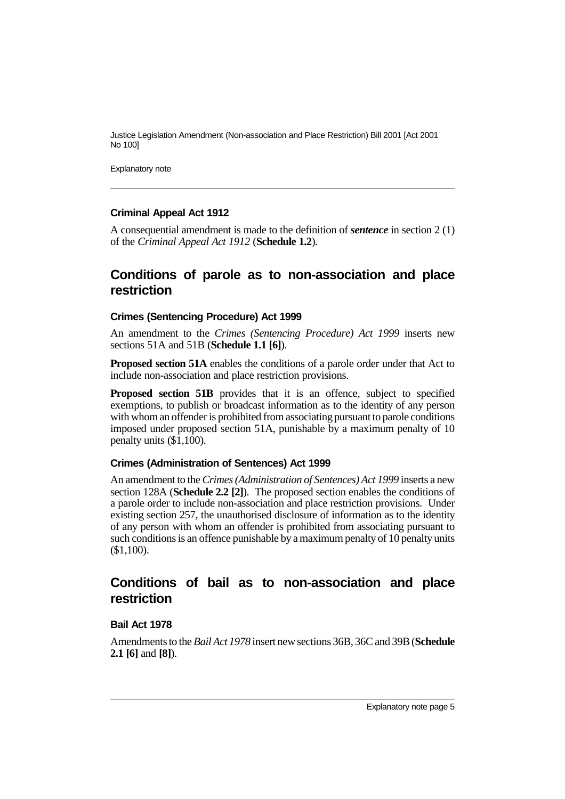Explanatory note

#### **Criminal Appeal Act 1912**

A consequential amendment is made to the definition of *sentence* in section 2 (1) of the *Criminal Appeal Act 1912* (**Schedule 1.2**).

### **Conditions of parole as to non-association and place restriction**

#### **Crimes (Sentencing Procedure) Act 1999**

An amendment to the *Crimes (Sentencing Procedure) Act 1999* inserts new sections 51A and 51B (**Schedule 1.1 [6]**).

**Proposed section 51A** enables the conditions of a parole order under that Act to include non-association and place restriction provisions.

**Proposed section 51B** provides that it is an offence, subject to specified exemptions, to publish or broadcast information as to the identity of any person with whom an offender is prohibited from associating pursuant to parole conditions imposed under proposed section 51A, punishable by a maximum penalty of 10 penalty units (\$1,100).

#### **Crimes (Administration of Sentences) Act 1999**

An amendment to the *Crimes (Administration of Sentences) Act 1999* inserts a new section 128A (**Schedule 2.2 [2]**). The proposed section enables the conditions of a parole order to include non-association and place restriction provisions. Under existing section 257, the unauthorised disclosure of information as to the identity of any person with whom an offender is prohibited from associating pursuant to such conditions is an offence punishable by a maximum penalty of 10 penalty units (\$1,100).

## **Conditions of bail as to non-association and place restriction**

#### **Bail Act 1978**

Amendments to the *Bail Act 1978* insert new sections 36B, 36C and 39B (**Schedule 2.1 [6]** and **[8]**).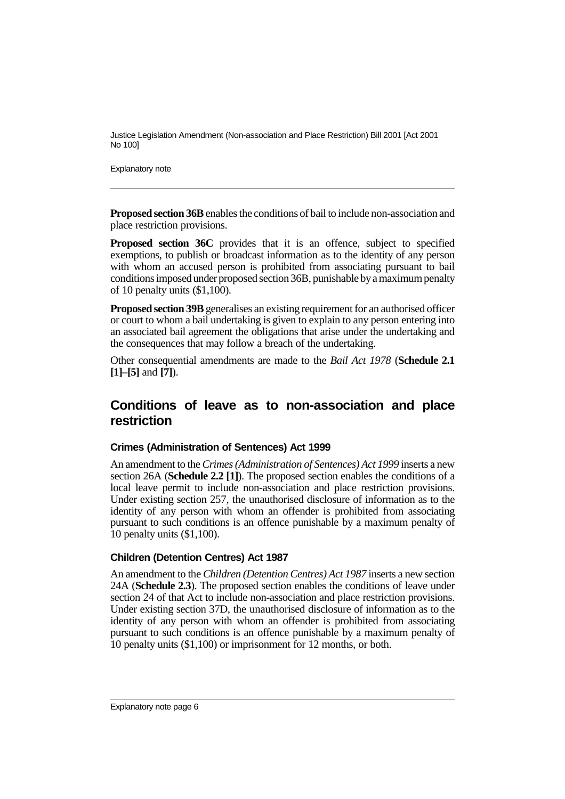Explanatory note

**Proposed section 36B** enables the conditions of bail to include non-association and place restriction provisions.

**Proposed section 36C** provides that it is an offence, subject to specified exemptions, to publish or broadcast information as to the identity of any person with whom an accused person is prohibited from associating pursuant to bail conditions imposed under proposed section 36B, punishable by a maximum penalty of 10 penalty units (\$1,100).

**Proposed section 39B** generalises an existing requirement for an authorised officer or court to whom a bail undertaking is given to explain to any person entering into an associated bail agreement the obligations that arise under the undertaking and the consequences that may follow a breach of the undertaking.

Other consequential amendments are made to the *Bail Act 1978* (**Schedule 2.1 [1]–[5]** and **[7]**).

## **Conditions of leave as to non-association and place restriction**

#### **Crimes (Administration of Sentences) Act 1999**

An amendment to the *Crimes (Administration of Sentences) Act 1999* inserts a new section 26A (**Schedule 2.2 [1]**). The proposed section enables the conditions of a local leave permit to include non-association and place restriction provisions. Under existing section 257, the unauthorised disclosure of information as to the identity of any person with whom an offender is prohibited from associating pursuant to such conditions is an offence punishable by a maximum penalty of 10 penalty units (\$1,100).

#### **Children (Detention Centres) Act 1987**

An amendment to the *Children (Detention Centres) Act 1987* inserts a new section 24A (**Schedule 2.3**). The proposed section enables the conditions of leave under section 24 of that Act to include non-association and place restriction provisions. Under existing section 37D, the unauthorised disclosure of information as to the identity of any person with whom an offender is prohibited from associating pursuant to such conditions is an offence punishable by a maximum penalty of 10 penalty units (\$1,100) or imprisonment for 12 months, or both.